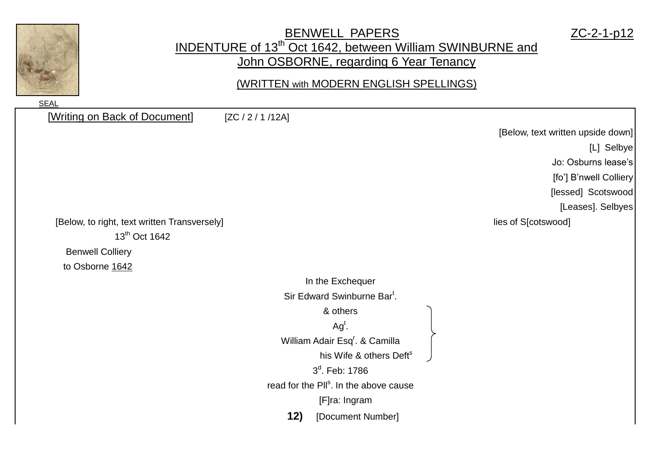

## BENWELL PAPERS ZC-2-1-p12 INDENTURE of 13<sup>th</sup> Oct 1642, between William SWINBURNE and John OSBORNE, regarding 6 Year Tenancy

(WRITTEN with MODERN ENGLISH SPELLINGS)

[Writing on Back of Document] [ZC / 2 / 1 /12A] [Below, text written upside down] [L] Selbye Jo: Osburns lease's [fo'] B'nwell Colliery [lessed] Scotswood [Leases]. Selbyes [Below, to right, text written Transversely] lies of S[cotswood] 13<sup>th</sup> Oct 1642 Benwell Colliery to Osborne 1642 In the Exchequer Sir Edward Swinburne Bar<sup>t</sup>. & others  $Ag<sup>t</sup>$ . William Adair Esq<sup>r</sup>. & Camilla his Wife & others Deft<sup>s</sup> 3<sup>d</sup>. Feb: 1786 read for the Pll<sup>s</sup>. In the above cause [F]ra: Ingram **12)** [Document Number]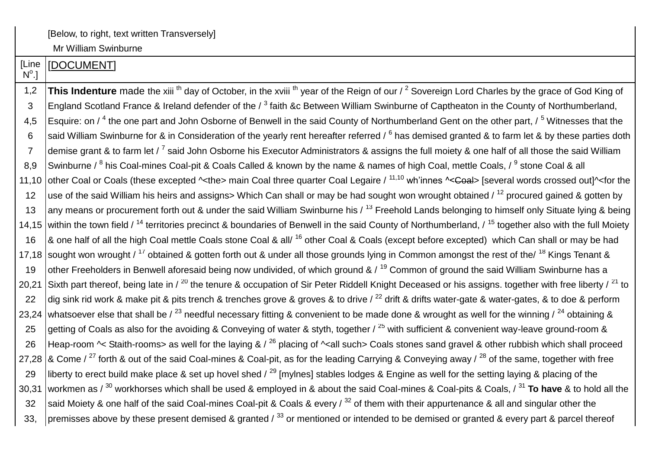Mr William Swinburne

| [Line<br>$N^{\circ}$ .] | [DOCUMENT]                                                                                                                                                                             |
|-------------------------|----------------------------------------------------------------------------------------------------------------------------------------------------------------------------------------|
| 1,2                     | This Indenture made the xili <sup>th</sup> day of October, in the xvili <sup>th</sup> year of the Reign of our / <sup>2</sup> Sovereign Lord Charles by the grace of God King of       |
| 3                       | England Scotland France & Ireland defender of the / <sup>3</sup> faith &c Between William Swinburne of Captheaton in the County of Northumberland,                                     |
| 4,5                     | Esquire: on / <sup>4</sup> the one part and John Osborne of Benwell in the said County of Northumberland Gent on the other part, / <sup>5</sup> Witnesses that the                     |
| 6                       | said William Swinburne for & in Consideration of the yearly rent hereafter referred / <sup>6</sup> has demised granted & to farm let & by these parties doth                           |
| $\overline{7}$          | demise grant & to farm let / <sup>7</sup> said John Osborne his Executor Administrators & assigns the full moiety & one half of all those the said William                             |
| 8,9                     | Swinburne / <sup>8</sup> his Coal-mines Coal-pit & Coals Called & known by the name & names of high Coal, mettle Coals, / <sup>9</sup> stone Coal & all                                |
| 11,10                   | other Coal or Coals (these excepted ^ <the> main Coal three quarter Coal Legaire / 11,10 wh'innes ^&lt;<del>Coal</del>&gt; [several words crossed out]^<for td="" the<=""></for></the> |
| 12                      | use of the said William his heirs and assigns> Which Can shall or may be had sought won wrought obtained / <sup>12</sup> procured gained & gotten by                                   |
| 13                      | any means or procurement forth out & under the said William Swinburne his $\frac{13}{13}$ Freehold Lands belonging to himself only Situate lying & being                               |
|                         | 14,15 within the town field / <sup>14</sup> territories precinct & boundaries of Benwell in the said County of Northumberland, / <sup>15</sup> together also with the full Moiety      |
| 16                      | & one half of all the high Coal mettle Coals stone Coal & all/ <sup>16</sup> other Coal & Coals (except before excepted) which Can shall or may be had                                 |
|                         | 17,18 sought won wrought / <sup>17</sup> obtained & gotten forth out & under all those grounds lying in Common amongst the rest of the/ <sup>18</sup> Kings Tenant &                   |
| 19                      | other Freeholders in Benwell aforesaid being now undivided, of which ground & / <sup>19</sup> Common of ground the said William Swinburne has a                                        |
| 20,21                   | Sixth part thereof, being late in / <sup>20</sup> the tenure & occupation of Sir Peter Riddell Knight Deceased or his assigns. together with free liberty / <sup>21</sup> to           |
| 22                      | dig sink rid work & make pit & pits trench & trenches grove & groves & to drive / <sup>22</sup> drift & drifts water-gate & water-gates, & to doe & perform                            |
|                         | 23,24 whatsoever else that shall be / $^{23}$ needful necessary fitting & convenient to be made done & wrought as well for the winning / $^{24}$ obtaining &                           |
| 25                      | getting of Coals as also for the avoiding & Conveying of water & styth, together / <sup>25</sup> with sufficient & convenient way-leave ground-room &                                  |
| 26                      | Heap-room $\sim$ Staith-rooms> as well for the laying & / $^{26}$ placing of $\sim$ all such> Coals stones sand gravel & other rubbish which shall proceed                             |
|                         | 27,28   & Come / <sup>27</sup> forth & out of the said Coal-mines & Coal-pit, as for the leading Carrying & Conveying away / <sup>28</sup> of the same, together with free             |
| 29                      | liberty to erect build make place & set up hovel shed / $^{29}$ [mylnes] stables lodges & Engine as well for the setting laying & placing of the                                       |
| 30,31                   | workmen as / $^{30}$ workhorses which shall be used & employed in & about the said Coal-mines & Coal-pits & Coals, / $^{31}$ To have & to hold all the                                 |
| 32                      | said Moiety & one half of the said Coal-mines Coal-pit & Coals & every / 32 of them with their appurtenance & all and singular other the                                               |
| 33,                     | premisses above by these present demised & granted / $^{33}$ or mentioned or intended to be demised or granted & every part & parcel thereof                                           |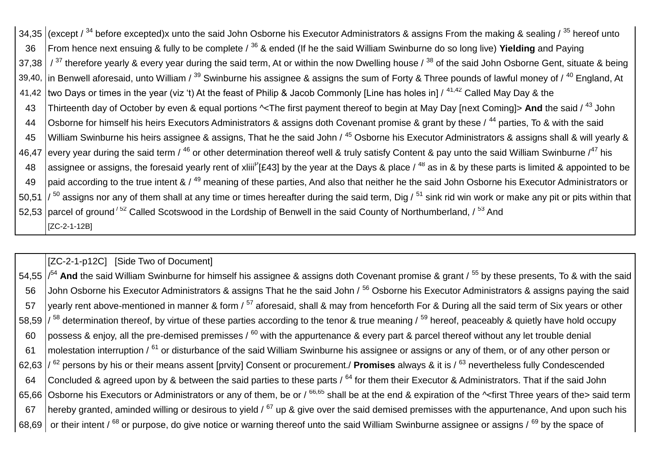34,35 (except /  $34$  before excepted)x unto the said John Osborne his Executor Administrators & assigns From the making & sealing /  $35$  hereof unto 36 From hence next ensuing & fully to be complete / <sup>36</sup> & ended (If he the said William Swinburne do so long live) **Yielding** and Paying 37,38  $/$ <sup>37</sup> therefore yearly & every year during the said term, At or within the now Dwelling house  $/$ <sup>38</sup> of the said John Osborne Gent, situate & being 39,40, in Benwell aforesaid, unto William /  $^{39}$  Swinburne his assignee & assigns the sum of Forty & Three pounds of lawful money of /  $^{40}$  England, At 41,42 two Days or times in the year (viz 't) At the feast of Philip & Jacob Commonly [Line has holes in]  $/$  <sup>41,42</sup> Called May Day & the 43 Thirteenth day of October by even & equal portions ^<The first payment thereof to begin at May Day [next Coming]> **And** the said / <sup>43</sup> John 44 | Osborne for himself his heirs Executors Administrators & assigns doth Covenant promise & grant by these / <sup>44</sup> parties, To & with the said 45 William Swinburne his heirs assignee & assigns, That he the said John / <sup>45</sup> Osborne his Executor Administrators & assigns shall & will yearly & 46,47 every year during the said term / <sup>46</sup> or other determination thereof well & truly satisfy Content & pay unto the said William Swinburne /<sup>47</sup> his 48 assignee or assigns, the foresaid yearly rent of xliii<sup>P</sup>[£43] by the year at the Days & place / <sup>48</sup> as in & by these parts is limited & appointed to be 49 paid according to the true intent &  $/$ <sup>49</sup> meaning of these parties, And also that neither he the said John Osborne his Executor Administrators or 50.51  $\frac{1}{50}$  assigns nor any of them shall at any time or times hereafter during the said term, Dig  $\frac{51}{51}$  sink rid win work or make any pit or pits within that 52,53 parcel of ground<sup>/52</sup> Called Scotswood in the Lordship of Benwell in the said County of Northumberland, /<sup>53</sup> And [ZC-2-1-12B]

[ZC-2-1-p12C] [Side Two of Document]

54,55  $\vert$ /<sup>54</sup> And the said William Swinburne for himself his assignee & assigns doth Covenant promise & grant / <sup>55</sup> by these presents, To & with the said 56 John Osborne his Executor Administrators & assigns That he the said John / <sup>56</sup> Osborne his Executor Administrators & assigns paving the said 57 vearly rent above-mentioned in manner & form  $/57$  aforesaid, shall & may from henceforth For & During all the said term of Six years or other 58.59  $\frac{1}{58}$  determination thereof, by virtue of these parties according to the tenor & true meaning  $\frac{59}{5}$  hereof, peaceably & quietly have hold occupy 60 possess & enjoy, all the pre-demised premisses /  $^{60}$  with the appurtenance & every part & parcel thereof without any let trouble denial 61 | molestation interruption  $\frac{61}{100}$  or disturbance of the said William Swinburne his assignee or assigns or any of them, or of any other person or 62,63 / <sup>62</sup> persons by his or their means assent [prvity] Consent or procurement./ **Promises** always & it is / <sup>63</sup> nevertheless fully Condescended 64 Concluded & agreed upon by & between the said parties to these parts  $\frac{64}{10}$  for them their Executor & Administrators. That if the said John 65,66 Osborne his Executors or Administrators or any of them, be or /  $^{66,65}$  shall be at the end & expiration of the  $\sim$  first Three years of the> said term 67 hereby granted, aminded willing or desirous to yield  $\frac{67}{10}$  up & give over the said demised premisses with the appurtenance, And upon such his 68,69 or their intent / <sup>68</sup> or purpose, do give notice or warning thereof unto the said William Swinburne assignee or assigns / <sup>69</sup> by the space of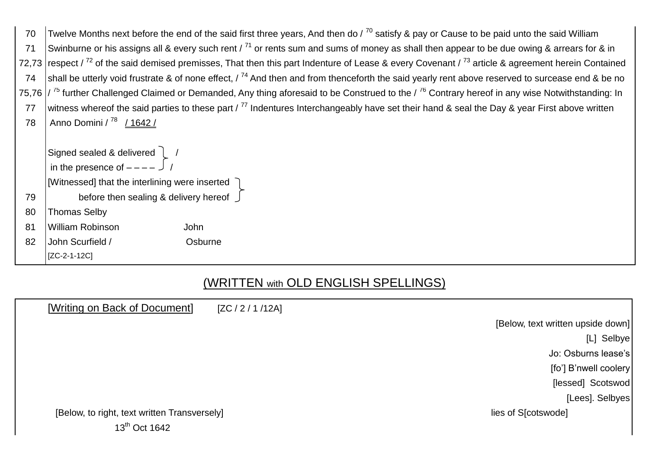| 70 |                                                                                                                   | Twelve Months next before the end of the said first three years, And then do / $^{70}$ satisfy & pay or Cause to be paid unto the said William                         |
|----|-------------------------------------------------------------------------------------------------------------------|------------------------------------------------------------------------------------------------------------------------------------------------------------------------|
| 71 |                                                                                                                   | Swinburne or his assigns all & every such rent / $^{71}$ or rents sum and sums of money as shall then appear to be due owing & arrears for & in                        |
|    |                                                                                                                   | 72,73 respect / $^{72}$ of the said demised premisses, That then this part Indenture of Lease & every Covenant / $^{73}$ article & agreement herein Contained          |
| 74 |                                                                                                                   | shall be utterly void frustrate & of none effect, / <sup>74</sup> And then and from thenceforth the said yearly rent above reserved to surcease end & be no            |
|    |                                                                                                                   | 75,76 $\frac{1}{75}$ further Challenged Claimed or Demanded, Any thing aforesaid to be Construed to the $\frac{76}{6}$ Contrary hereof in any wise Notwithstanding: In |
| 77 |                                                                                                                   | witness whereof the said parties to these part / <sup>77</sup> Indentures Interchangeably have set their hand & seal the Day & year First above written                |
| 78 | Anno Domini / 78 / 1642 /                                                                                         |                                                                                                                                                                        |
|    |                                                                                                                   |                                                                                                                                                                        |
|    | Signed sealed & delivered $\left[\begin{array}{cc} 1 & 1 \\ 1 & 1 \end{array}\right]$<br>in the presence of $---$ |                                                                                                                                                                        |
|    |                                                                                                                   |                                                                                                                                                                        |
|    | [Witnessed] that the interlining were inserted $\bigcap$                                                          |                                                                                                                                                                        |
| 79 | before then sealing & delivery hereof $\int$                                                                      |                                                                                                                                                                        |
| 80 | <b>Thomas Selby</b>                                                                                               |                                                                                                                                                                        |
| 81 | <b>William Robinson</b>                                                                                           | John                                                                                                                                                                   |
| 82 | John Scurfield /                                                                                                  | Osburne                                                                                                                                                                |
|    | [ZC-2-1-12C]                                                                                                      |                                                                                                                                                                        |
|    |                                                                                                                   |                                                                                                                                                                        |

## (WRITTEN with OLD ENGLISH SPELLINGS)

| [Writing on Back of Document]                | [ZC / 2 / 1 / 12A] |                                    |
|----------------------------------------------|--------------------|------------------------------------|
|                                              |                    | [Below, text written upside down]] |
|                                              |                    | [L] Selbye                         |
|                                              |                    | Jo: Osburns lease's                |
|                                              |                    | [fo'] B'nwell coolery              |
|                                              |                    | [lessed] Scotswod]                 |
|                                              |                    | [Lees]. Selbyes]                   |
| [Below, to right, text written Transversely] |                    | lies of S[cotswode]                |
| 13 <sup>th</sup> Oct 1642                    |                    |                                    |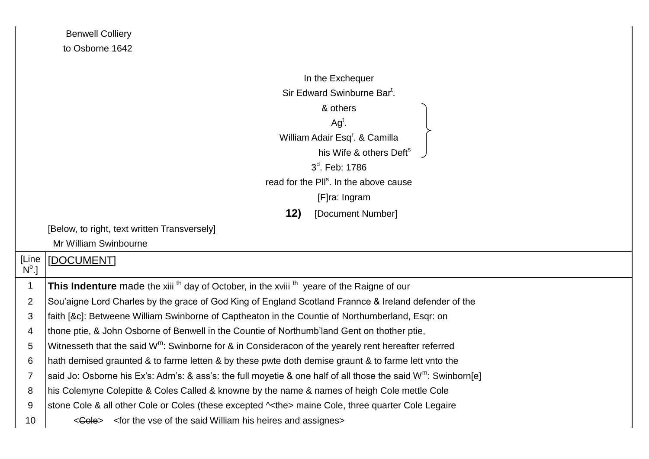| <b>Benwell Colliery</b> |  |
|-------------------------|--|
| to Osborne 1642         |  |

|                       | In the Exchequer                                                                                                          |
|-----------------------|---------------------------------------------------------------------------------------------------------------------------|
|                       | Sir Edward Swinburne Bar <sup>t</sup> .                                                                                   |
|                       | & others                                                                                                                  |
|                       | $Agt$ .                                                                                                                   |
|                       | William Adair Esq <sup>r</sup> . & Camilla                                                                                |
|                       | his Wife & others Deft <sup>s</sup>                                                                                       |
|                       | 3 <sup>d</sup> . Feb: 1786                                                                                                |
|                       | read for the Pll <sup>s</sup> . In the above cause                                                                        |
|                       | [F]ra: Ingram                                                                                                             |
|                       | 12)<br>[Document Number]                                                                                                  |
|                       | [Below, to right, text written Transversely]                                                                              |
|                       | Mr William Swinbourne                                                                                                     |
| [Line<br>$N^{\circ}.$ | [DOCUMENT]                                                                                                                |
| $\mathbf 1$           | This Indenture made the xiii <sup>th</sup> day of October, in the xviii <sup>th</sup> yeare of the Raigne of our          |
| $\overline{2}$        | Sou'aigne Lord Charles by the grace of God King of England Scotland Frannce & Ireland defender of the                     |
| 3                     | faith [&c]: Betweene William Swinborne of Captheaton in the Countie of Northumberland, Esqr: on                           |
| 4                     | thone ptie, & John Osborne of Benwell in the Countie of Northumb'land Gent on thother ptie,                               |
| 5                     | Witnesseth that the said $W^m$ : Swinborne for & in Consideracon of the yearely rent hereafter referred                   |
| 6                     | hath demised graunted & to farme letten & by these pwte doth demise graunt & to farme lett vnto the                       |
| 7                     | said Jo: Osborne his Ex's: Adm's: & ass's: the full moyetie & one half of all those the said W <sup>m</sup> : Swinborn[e] |
| 8                     | his Colemyne Colepitte & Coles Called & knowne by the name & names of heigh Cole mettle Cole                              |
| 9                     | stone Cole & all other Cole or Coles (these excepted $\sim$ the> maine Cole, three quarter Cole Legaire                   |
| 10                    | $\leq$ Gole > $\leq$ for the vse of the said William his heires and assignes >                                            |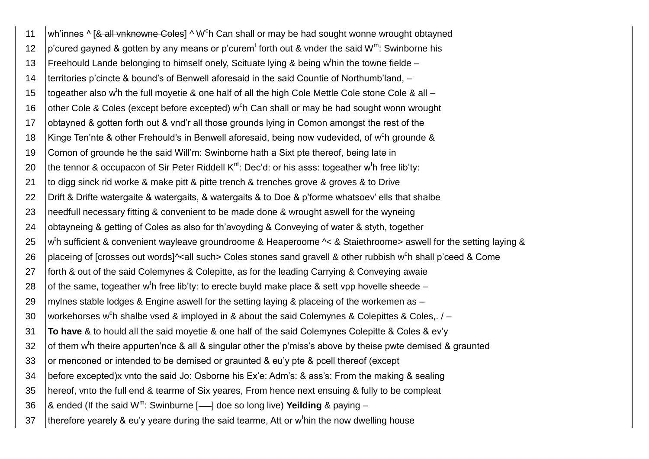11 | wh'innes ^ [& all vnknowne Coles] ^ W<sup>c</sup>h Can shall or may be had sought wonne wrought obtayned 12  $|p$ 'cured gayned & gotten by any means or p'curem<sup>t</sup> forth out & vnder the said W<sup>m</sup>: Swinborne his 13 | Freehould Lande belonging to himself onely, Scituate lying & being w<sup>t</sup>hin the towne fielde -14 territories p'cincte & bound's of Benwell aforesaid in the said Countie of Northumb'land, – 15  $\mid$  togeather also w<sup>t</sup>h the full moyetie & one half of all the high Cole Mettle Cole stone Cole & all – 16  $\vert$  other Cole & Coles (except before excepted) w<sup>c</sup>h Can shall or may be had sought wonn wrought 17 obtayned & gotten forth out & vnd'r all those grounds lying in Comon amongst the rest of the 18 | Kinge Ten'nte & other Frehould's in Benwell aforesaid, being now vudevided, of w<sup>c</sup>h grounde & 19 Comon of grounde he the said Will'm: Swinborne hath a Sixt pte thereof, being late in 20  $\mid$ the tennor & occupacon of Sir Peter Riddell K<sup>nt</sup>: Dec'd: or his asss: togeather w<sup>t</sup>h free lib'ty: 21 to digg sinck rid worke & make pitt & pitte trench & trenches grove & groves & to Drive 22 Drift & Drifte watergaite & watergaits, & watergaits & to Doe & p'forme whatsoev' ells that shalbe 23 Ineedfull necessary fitting & convenient to be made done & wrought aswell for the wyneing 24 obtayneing & getting of Coles as also for th'avoyding & Conveying of water & styth, together 25 w <sup>t</sup>h sufficient & convenient wayleave groundroome & Heaperoome ^< & Staiethroome> aswell for the setting laying & 26  $\mid$ placeing of [crosses out words]^<all such> Coles stones sand gravell & other rubbish w<sup>c</sup>h shall p'ceed & Come 27 forth & out of the said Colemynes & Colepitte, as for the leading Carrying & Conveying awaie 28  $\mid$  of the same, togeather w<sup>t</sup>h free lib'ty: to erecte buyld make place & sett vpp hovelle sheede – 29 | mylnes stable lodges & Engine aswell for the setting laying & placeing of the workemen as – 30  $\mid$  workehorses w<sup>c</sup>h shalbe vsed & imployed in & about the said Colemynes & Colepittes & Coles,. / -31 **To have** & to hould all the said moyetie & one half of the said Colemynes Colepitte & Coles & ev'y 32  $\mid$  of them w<sup>t</sup>h theire appurten'nce & all & singular other the p'miss's above by theise pwte demised & graunted 33 or menconed or intended to be demised or graunted & eu'y pte & pcell thereof (except 34 before excepted)x vnto the said Jo: Osborne his Ex'e: Adm's: & ass's: From the making & sealing 35 hereof, vnto the full end & tearme of Six yeares, From hence next ensuing & fully to be compleat 36 as ended (If the said W<sup>m</sup>: Swinburne [----] doe so long live) **Yeilding** & paying --37  $\vert$ therefore yearely & eu'y yeare during the said tearme, Att or w<sup>t</sup>hin the now dwelling house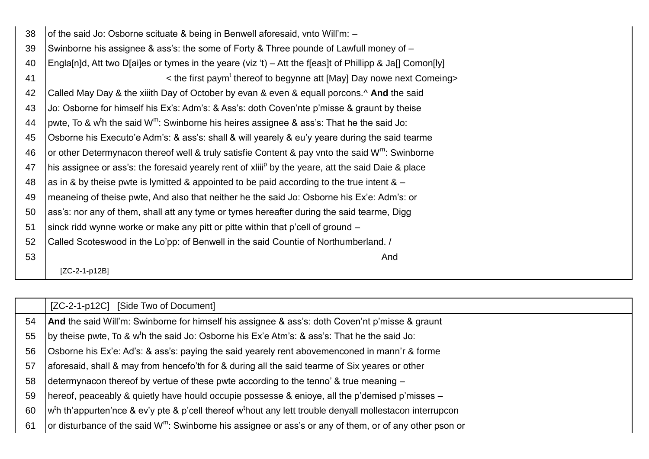| 38 | of the said Jo: Osborne scituate & being in Benwell aforesaid, vnto Will'm: -                                     |
|----|-------------------------------------------------------------------------------------------------------------------|
| 39 | Swinborne his assignee & ass's: the some of Forty & Three pounde of Lawfull money of -                            |
| 40 | Engla[n]d, Att two D[ai]es or tymes in the yeare (viz 't) – Att the f[eas]t of Phillipp & Ja[] Comon[ly]          |
| 41 | $\epsilon$ the first paym <sup>t</sup> thereof to begynne att [May] Day nowe next Comeing>                        |
| 42 | Called May Day & the xiiith Day of October by evan & even & equall porcons.^ And the said                         |
| 43 | Jo: Osborne for himself his Ex's: Adm's: & Ass's: doth Coven'nte p'misse & graunt by theise                       |
| 44 | pwte, To & w <sup>t</sup> h the said W <sup>m</sup> : Swinborne his heires assignee & ass's: That he the said Jo: |
| 45 | Osborne his Executo'e Adm's: & ass's: shall & will yearely & eu'y yeare during the said tearme                    |
| 46 | or other Determynacon thereof well & truly satisfie Content & pay vnto the said W <sup>m</sup> : Swinborne        |
| 47 | his assignee or ass's: the foresaid yearely rent of xilil <sup>p</sup> by the yeare, att the said Daie & place    |
| 48 | as in & by theise pwte is lymitted & appointed to be paid according to the true intent $\& -$                     |
| 49 | meaneing of theise pwte, And also that neither he the said Jo: Osborne his Ex'e: Adm's: or                        |
| 50 | ass's: nor any of them, shall att any tyme or tymes hereafter during the said tearme, Digg                        |
| 51 | sinck ridd wynne worke or make any pitt or pitte within that p'cell of ground –                                   |
| 52 | Called Scoteswood in the Lo'pp: of Benwell in the said Countie of Northumberland. /                               |
| 53 | And                                                                                                               |
|    | IZC-2-1-p12B1                                                                                                     |

|    | [ZC-2-1-p12C] [Side Two of Document]                                                                                                      |
|----|-------------------------------------------------------------------------------------------------------------------------------------------|
| 54 | <b>And</b> the said Will'm: Swinborne for himself his assignee & ass's: doth Coven'nt p'misse & graunt                                    |
| 55 | by theise pwte, To & w <sup>t</sup> h the said Jo: Osborne his Ex'e Atm's: & ass's: That he the said Jo:                                  |
| 56 | Osborne his Ex'e: Ad's: & ass's: paying the said yearely rent abovemenconed in mann'r & forme                                             |
| 57 | aforesaid, shall & may from hencefo'th for & during all the said tearme of Six yeares or other                                            |
| 58 | determynacon thereof by vertue of these pwte according to the tenno' & true meaning –                                                     |
| 59 | hereof, peaceably & quietly have hould occupie possesse & enioye, all the p'demised p'misses -                                            |
| 60 | $\mathbf{w}^{\text{th}}$ th'appurten'nce & ev'y pte & p'cell thereof w <sup>t</sup> hout any lett trouble denyall mollestacon interrupcon |
| 61 | or disturbance of the said W <sup>m</sup> : Swinborne his assignee or ass's or any of them, or of any other pson or                       |